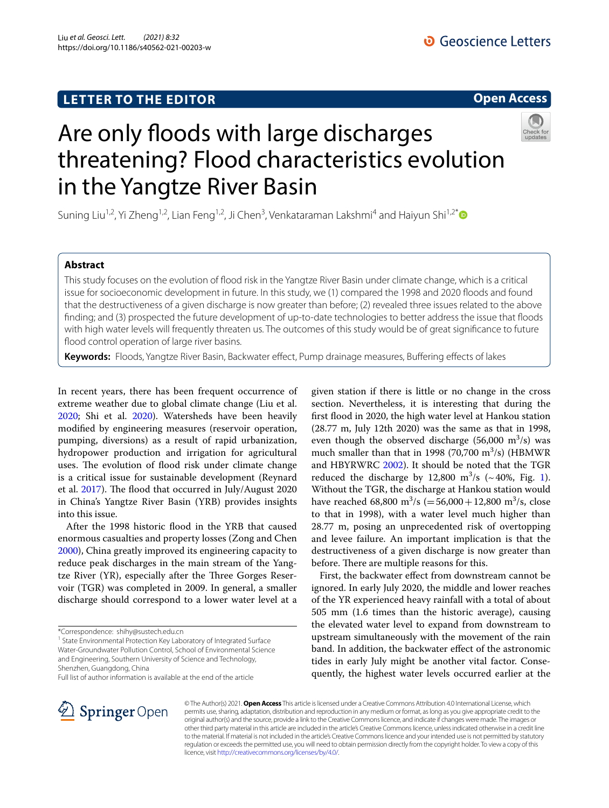# **LETTER TO THE EDITOR**

**Open Access**

# Are only floods with large discharges threatening? Flood characteristics evolution in the Yangtze River Basin

Suning Liu<sup>1,2</sup>, Yi Zheng<sup>1,2</sup>, Lian Feng<sup>1,2</sup>, Ji Chen<sup>3</sup>, Venkataraman Lakshmi<sup>4</sup> and Haiyun Shi<sup>1,2[\\*](http://orcid.org/0000-0001-5793-1138)</sup>

### **Abstract**

This study focuses on the evolution of food risk in the Yangtze River Basin under climate change, which is a critical issue for socioeconomic development in future. In this study, we (1) compared the 1998 and 2020 foods and found that the destructiveness of a given discharge is now greater than before; (2) revealed three issues related to the above fnding; and (3) prospected the future development of up-to-date technologies to better address the issue that foods with high water levels will frequently threaten us. The outcomes of this study would be of great signifcance to future flood control operation of large river basins.

**Keywords:** Floods, Yangtze River Basin, Backwater efect, Pump drainage measures, Bufering efects of lakes

In recent years, there has been frequent occurrence of extreme weather due to global climate change (Liu et al. [2020](#page-2-0); Shi et al. [2020](#page-2-1)). Watersheds have been heavily modifed by engineering measures (reservoir operation, pumping, diversions) as a result of rapid urbanization, hydropower production and irrigation for agricultural uses. The evolution of flood risk under climate change is a critical issue for sustainable development (Reynard et al. [2017](#page-2-2)). The flood that occurred in July/August 2020 in China's Yangtze River Basin (YRB) provides insights into this issue.

After the 1998 historic flood in the YRB that caused enormous casualties and property losses (Zong and Chen [2000](#page-2-3)), China greatly improved its engineering capacity to reduce peak discharges in the main stream of the Yangtze River (YR), especially after the Three Gorges Reservoir (TGR) was completed in 2009. In general, a smaller discharge should correspond to a lower water level at a

<sup>1</sup> State Environmental Protection Key Laboratory of Integrated Surface Water-Groundwater Pollution Control, School of Environmental Science and Engineering, Southern University of Science and Technology, Shenzhen, Guangdong, China

Full list of author information is available at the end of the article

given station if there is little or no change in the cross section. Nevertheless, it is interesting that during the frst food in 2020, the high water level at Hankou station (28.77 m, July 12th 2020) was the same as that in 1998, even though the observed discharge (56,000  $\mathrm{m}^3/\mathrm{s}$ ) was much smaller than that in 1998 (70,700 m<sup>3</sup>/s) (HBMWR and HBYRWRC [2002](#page-2-4)). It should be noted that the TGR reduced the discharge by [1](#page-1-0)2,800  $\text{m}^3\text{/s}$  (~40%, Fig. 1). Without the TGR, the discharge at Hankou station would have reached  $68,800 \text{ m}^3/\text{s} (=56,000+12,800 \text{ m}^3/\text{s}, \text{ close}$ to that in 1998), with a water level much higher than 28.77 m, posing an unprecedented risk of overtopping and levee failure. An important implication is that the destructiveness of a given discharge is now greater than before. There are multiple reasons for this.

First, the backwater efect from downstream cannot be ignored. In early July 2020, the middle and lower reaches of the YR experienced heavy rainfall with a total of about 505 mm (1.6 times than the historic average), causing the elevated water level to expand from downstream to upstream simultaneously with the movement of the rain band. In addition, the backwater efect of the astronomic tides in early July might be another vital factor. Consequently, the highest water levels occurred earlier at the



© The Author(s) 2021. **Open Access** This article is licensed under a Creative Commons Attribution 4.0 International License, which permits use, sharing, adaptation, distribution and reproduction in any medium or format, as long as you give appropriate credit to the original author(s) and the source, provide a link to the Creative Commons licence, and indicate if changes were made. The images or other third party material in this article are included in the article's Creative Commons licence, unless indicated otherwise in a credit line to the material. If material is not included in the article's Creative Commons licence and your intended use is not permitted by statutory regulation or exceeds the permitted use, you will need to obtain permission directly from the copyright holder. To view a copy of this licence, visit [http://creativecommons.org/licenses/by/4.0/.](http://creativecommons.org/licenses/by/4.0/)

<sup>\*</sup>Correspondence: shihy@sustech.edu.cn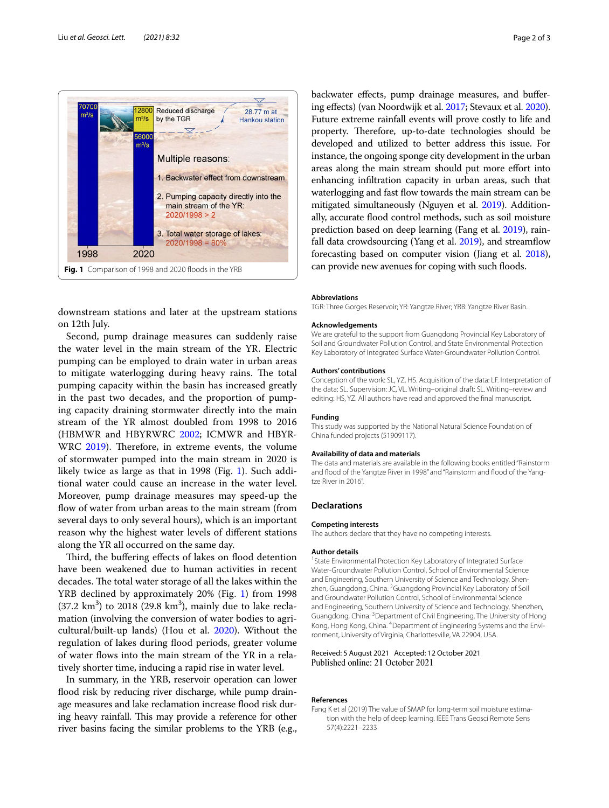

<span id="page-1-0"></span>downstream stations and later at the upstream stations on 12th July.

Second, pump drainage measures can suddenly raise the water level in the main stream of the YR. Electric pumping can be employed to drain water in urban areas to mitigate waterlogging during heavy rains. The total pumping capacity within the basin has increased greatly in the past two decades, and the proportion of pumping capacity draining stormwater directly into the main stream of the YR almost doubled from 1998 to 2016 (HBMWR and HBYRWRC [2002](#page-2-4); ICMWR and HBYR-WRC [2019\)](#page-2-5). Therefore, in extreme events, the volume of stormwater pumped into the main stream in 2020 is likely twice as large as that in [1](#page-1-0)998 (Fig. 1). Such additional water could cause an increase in the water level. Moreover, pump drainage measures may speed-up the flow of water from urban areas to the main stream (from several days to only several hours), which is an important reason why the highest water levels of diferent stations along the YR all occurred on the same day.

Third, the buffering effects of lakes on flood detention have been weakened due to human activities in recent decades. The total water storage of all the lakes within the YRB declined by approximately 20% (Fig. [1\)](#page-1-0) from 1998  $(37.2 \text{ km}^3)$  to 2018  $(29.8 \text{ km}^3)$ , mainly due to lake reclamation (involving the conversion of water bodies to agricultural/built-up lands) (Hou et al. [2020](#page-2-6)). Without the regulation of lakes during flood periods, greater volume of water fows into the main stream of the YR in a relatively shorter time, inducing a rapid rise in water level.

In summary, in the YRB, reservoir operation can lower flood risk by reducing river discharge, while pump drainage measures and lake reclamation increase flood risk during heavy rainfall. This may provide a reference for other river basins facing the similar problems to the YRB (e.g., backwater efects, pump drainage measures, and bufering efects) (van Noordwijk et al. [2017](#page-2-7); Stevaux et al. [2020](#page-2-8)). Future extreme rainfall events will prove costly to life and property. Therefore, up-to-date technologies should be developed and utilized to better address this issue. For instance, the ongoing sponge city development in the urban areas along the main stream should put more efort into enhancing infltration capacity in urban areas, such that waterlogging and fast flow towards the main stream can be mitigated simultaneously (Nguyen et al. [2019\)](#page-2-9). Additionally, accurate flood control methods, such as soil moisture prediction based on deep learning (Fang et al. [2019](#page-1-1)), rainfall data crowdsourcing (Yang et al. [2019](#page-2-10)), and streamfow forecasting based on computer vision (Jiang et al. [2018](#page-2-11)), can provide new avenues for coping with such floods.

#### **Abbreviations**

TGR: Three Gorges Reservoir; YR: Yangtze River; YRB: Yangtze River Basin.

#### **Acknowledgements**

We are grateful to the support from Guangdong Provincial Key Laboratory of Soil and Groundwater Pollution Control, and State Environmental Protection Key Laboratory of Integrated Surface Water-Groundwater Pollution Control.

#### **Authors' contributions**

Conception of the work: SL, YZ, HS. Acquisition of the data: LF. Interpretation of the data: SL. Supervision: JC, VL. Writing–original draft: SL. Writing–review and editing: HS, YZ. All authors have read and approved the fnal manuscript.

#### **Funding**

This study was supported by the National Natural Science Foundation of China funded projects (51909117).

#### **Availability of data and materials**

The data and materials are available in the following books entitled "Rainstorm and flood of the Yangtze River in 1998" and "Rainstorm and flood of the Yangtze River in 2016".

#### **Declarations**

#### **Competing interests**

The authors declare that they have no competing interests.

#### **Author details**

<sup>1</sup> State Environmental Protection Key Laboratory of Integrated Surface Water-Groundwater Pollution Control, School of Environmental Science and Engineering, Southern University of Science and Technology, Shenzhen, Guangdong, China. <sup>2</sup> Guangdong Provincial Key Laboratory of Soil and Groundwater Pollution Control, School of Environmental Science and Engineering, Southern University of Science and Technology, Shenzhen, Guangdong, China.<sup>3</sup> Department of Civil Engineering, The University of Hong Kong, Hong Kong, China. <sup>4</sup> Department of Engineering Systems and the Environment, University of Virginia, Charlottesville, VA 22904, USA.

# Received: 5 August 2021 Accepted: 12 October 2021

#### **References**

<span id="page-1-1"></span>Fang K et al (2019) The value of SMAP for long-term soil moisture estimation with the help of deep learning. IEEE Trans Geosci Remote Sens 57(4):2221–2233